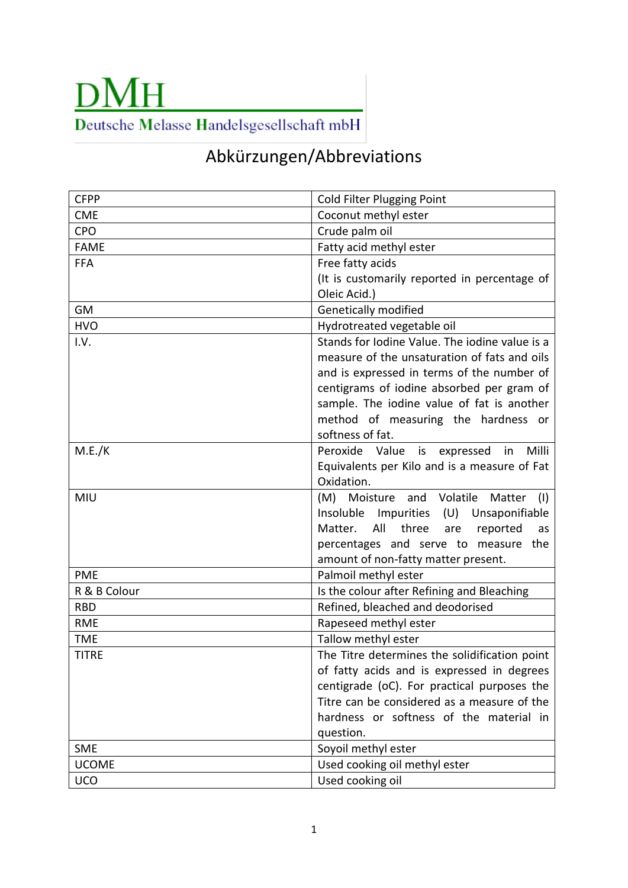## **DMH** Deutsche Melasse Handelsgesellschaft mbH

## Abkürzungen/Abbreviations

| <b>CFPP</b>  | <b>Cold Filter Plugging Point</b>                |
|--------------|--------------------------------------------------|
| <b>CME</b>   | Coconut methyl ester                             |
| CPO          | Crude palm oil                                   |
| <b>FAME</b>  | Fatty acid methyl ester                          |
| <b>FFA</b>   | Free fatty acids                                 |
|              | (It is customarily reported in percentage of     |
|              | Oleic Acid.)                                     |
| GM           | Genetically modified                             |
| <b>HVO</b>   | Hydrotreated vegetable oil                       |
| I.V.         | Stands for Iodine Value. The iodine value is a   |
|              | measure of the unsaturation of fats and oils     |
|              | and is expressed in terms of the number of       |
|              | centigrams of iodine absorbed per gram of        |
|              | sample. The iodine value of fat is another       |
|              | method of measuring the hardness or              |
|              | softness of fat.                                 |
| M.E./K       | Peroxide Value<br>Milli<br>is expressed<br>in    |
|              | Equivalents per Kilo and is a measure of Fat     |
|              | Oxidation.                                       |
| MIU          | (M) Moisture and Volatile<br>Matter<br>(1)       |
|              | Insoluble<br>Impurities<br>(U)<br>Unsaponifiable |
|              | All<br>three<br>reported<br>Matter.<br>are<br>as |
|              | percentages and serve to measure the             |
|              | amount of non-fatty matter present.              |
| <b>PME</b>   | Palmoil methyl ester                             |
| R & B Colour | Is the colour after Refining and Bleaching       |
| <b>RBD</b>   | Refined, bleached and deodorised                 |
| <b>RME</b>   | Rapeseed methyl ester                            |
| <b>TME</b>   | Tallow methyl ester                              |
| <b>TITRE</b> | The Titre determines the solidification point    |
|              | of fatty acids and is expressed in degrees       |
|              | centigrade (oC). For practical purposes the      |
|              | Titre can be considered as a measure of the      |
|              | hardness or softness of the material in          |
|              | question.                                        |
| <b>SME</b>   | Soyoil methyl ester                              |
| <b>UCOME</b> | Used cooking oil methyl ester                    |
| <b>UCO</b>   | Used cooking oil                                 |